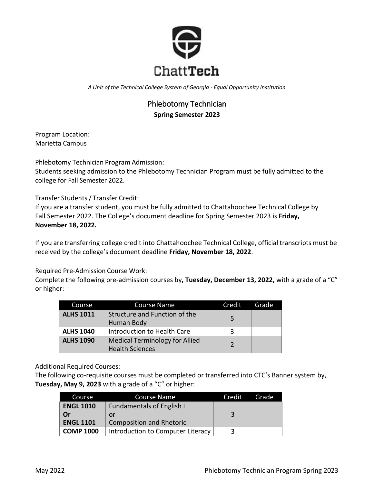

*A Unit of the Technical College System of Georgia - Equal Opportunity Institution*

# Phlebotomy Technician **Spring Semester 2023**

Program Location: Marietta Campus

Phlebotomy Technician Program Admission:

Students seeking admission to the Phlebotomy Technician Program must be fully admitted to the college for Fall Semester 2022.

Transfer Students/ Transfer Credit:

If you are a transfer student, you must be fully admitted to Chattahoochee Technical College by Fall Semester 2022. The College's document deadline for Spring Semester 2023 is **Friday, November 18, 2022.**

If you are transferring college credit into Chattahoochee Technical College, official transcripts must be received by the college's document deadline **Friday, November 18, 2022**.

Required Pre-Admission Course Work:

Complete the following pre-admission courses by**, Tuesday, December 13, 2022,** with a grade of a "C" or higher:

| Course           | <b>Course Name</b>                                              | Credit | Grade |
|------------------|-----------------------------------------------------------------|--------|-------|
| <b>ALHS 1011</b> | Structure and Function of the<br>Human Body                     |        |       |
| <b>ALHS 1040</b> | Introduction to Health Care                                     | 3      |       |
| <b>ALHS 1090</b> | <b>Medical Terminology for Allied</b><br><b>Health Sciences</b> |        |       |

Additional Required Courses:

The following co-requisite courses must be completed or transferred into CTC's Banner system by, **Tuesday, May 9, 2023** with a grade of a "C" or higher:

| Course           | <b>Course Name</b>                | Credit | Grade |
|------------------|-----------------------------------|--------|-------|
| <b>ENGL 1010</b> | <b>Fundamentals of English I</b>  |        |       |
| Or               | or                                | ્ર     |       |
| <b>ENGL 1101</b> | <b>Composition and Rhetoric</b>   |        |       |
| <b>COMP 1000</b> | Introduction to Computer Literacy | ર      |       |